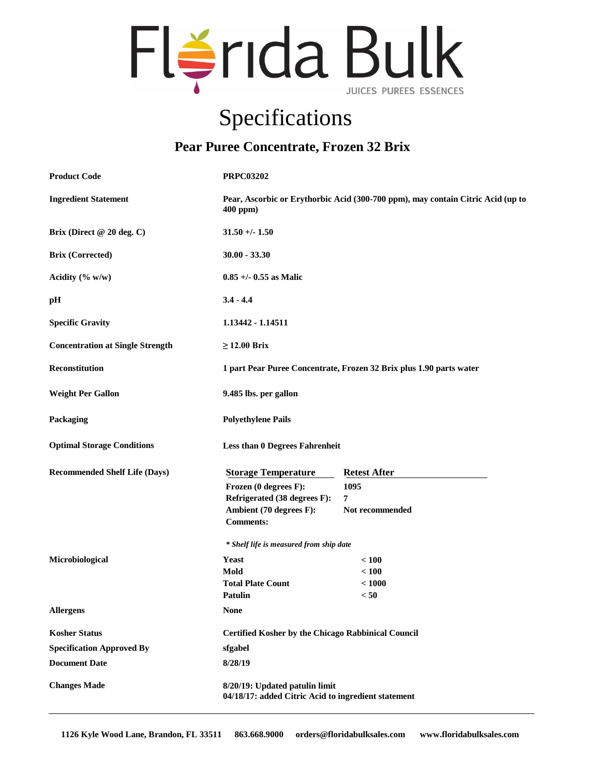

## Specifications

## **Pear Puree Concentrate, Frozen 32 Brix**

| <b>Product Code</b>                     | <b>PRPC03202</b>                                                                            |                     |
|-----------------------------------------|---------------------------------------------------------------------------------------------|---------------------|
| <b>Ingredient Statement</b>             | Pear, Ascorbic or Erythorbic Acid (300-700 ppm), may contain Citric Acid (up to<br>400 ppm) |                     |
| Brix (Direct @ 20 deg. C)               | $31.50 + - 1.50$                                                                            |                     |
| <b>Brix (Corrected)</b>                 | $30.00 - 33.30$                                                                             |                     |
| Acidity $(\% w/w)$                      | $0.85 +/- 0.55$ as Malic                                                                    |                     |
| pH                                      | $3.4 - 4.4$                                                                                 |                     |
| <b>Specific Gravity</b>                 | 1.13442 - 1.14511                                                                           |                     |
| <b>Concentration at Single Strength</b> | $\geq$ 12.00 Brix                                                                           |                     |
| Reconstitution                          | 1 part Pear Puree Concentrate, Frozen 32 Brix plus 1.90 parts water                         |                     |
| <b>Weight Per Gallon</b>                | 9.485 lbs. per gallon                                                                       |                     |
| Packaging                               | <b>Polyethylene Pails</b>                                                                   |                     |
| <b>Optimal Storage Conditions</b>       | <b>Less than 0 Degrees Fahrenheit</b>                                                       |                     |
| <b>Recommended Shelf Life (Days)</b>    | <b>Storage Temperature</b>                                                                  | <b>Retest After</b> |
|                                         | Frozen (0 degrees F):                                                                       | 1095                |
|                                         | Refrigerated (38 degrees F):                                                                | 7                   |
|                                         | Ambient (70 degrees F):<br><b>Comments:</b>                                                 | Not recommended     |
|                                         | * Shelf life is measured from ship date                                                     |                     |
| Microbiological                         | Yeast                                                                                       | < 100               |
|                                         | Mold                                                                                        | < 100               |
|                                         | <b>Total Plate Count</b>                                                                    | < 1000              |
|                                         | Patulin                                                                                     | < 50                |
| Allergens                               | <b>None</b>                                                                                 |                     |
| <b>Kosher Status</b>                    | <b>Certified Kosher by the Chicago Rabbinical Council</b>                                   |                     |
| <b>Specification Approved By</b>        | sfgabel                                                                                     |                     |
| <b>Document Date</b>                    | 8/28/19                                                                                     |                     |
| <b>Changes Made</b>                     | 8/20/19: Updated patulin limit<br>04/18/17: added Citric Acid to ingredient statement       |                     |